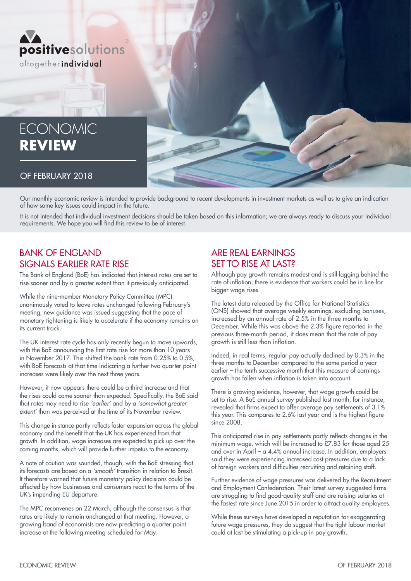

# **ECONOMIC REVIEW**

#### OF FEBRUARY 2018

Our monthly economic review is intended to provide background to recent developments in investment markets as well as to give an indication of how some key issues could impact in the future.

It is not intended that individual investment decisions should be taken based on this information; we are always ready to discuss your individual requirements. We hope you will find this review to be of interest.

## BANK OF ENGLAND SIGNALS EARLIER RATE RISE

The Bank of England (BoE) has indicated that interest rates are set to rise sooner and by a greater extent than it previously anticipated.

While the nine-member Monetary Policy Committee (MPC) unanimously voted to leave rates unchanged following February's meeting, new guidance was issued suggesting that the pace of monetary tightening is likely to accelerate if the economy remains on its current track.

The UK interest rate cycle has only recently begun to move upwards, with the BoE announcing the first rate rise for more than 10 years in November 2017. This shifted the bank rate from 0.25% to 0.5%, with BoE forecasts at that time indicating a further two quarter point increases were likely over the next three years.

However, it now appears there could be a third increase and that the rises could come sooner than expected. Specifically, the BoE said that rates may need to rise *'earlier'* and by a *'somewhat greater extent'* than was perceived at the time of its November review.

This change in stance partly reflects faster expansion across the global economy and the benefit that the UK has experienced from that growth. In addition, wage increases are expected to pick up over the coming months, which will provide further impetus to the economy.

A note of caution was sounded, though, with the BoE stressing that its forecasts are based on a *'smooth'* transition in relation to Brexit. It therefore warned that future monetary policy decisions could be affected by how businesses and consumers react to the terms of the UK's impending EU departure.

The MPC reconvenes on 22 March, although the consensus is that rates are likely to remain unchanged at that meeting. However, a growing band of economists are now predicting a quarter point increase at the following meeting scheduled for May.

### ARE REAL EARNINGS SET TO RISE AT LAST?

Although pay growth remains modest and is still lagging behind the rate of inflation, there is evidence that workers could be in line for bigger wage rises.

The latest data released by the Office for National Statistics (ONS) showed that average weekly earnings, excluding bonuses, increased by an annual rate of 2.5% in the three months to December. While this was above the 2.3% figure reported in the previous three-month period, it does mean that the rate of pay growth is still less than inflation.

Indeed, in real terms, regular pay actually declined by 0.3% in the three months to December compared to the same period a year earlier – the tenth successive month that this measure of earnings growth has fallen when inflation is taken into account.

There is growing evidence, however, that wage growth could be set to rise. A BoE annual survey published last month, for instance, revealed that firms expect to offer average pay settlements of 3.1% this year. This compares to 2.6% last year and is the highest figure since 2008.

This anticipated rise in pay settlements partly reflects changes in the minimum wage, which will be increased to £7.83 for those aged 25 and over in April – a 4.4% annual increase. In addition, employers said they were experiencing increased cost pressures due to a lack of foreign workers and difficulties recruiting and retaining staff.

Further evidence of wage pressures was delivered by the Recruitment and Employment Confederation. Their latest survey suggested firms are struggling to find good-quality staff and are raising salaries at the fastest rate since June 2015 in order to attract quality employees.

While these surveys have developed a reputation for exaggerating future wage pressures, they do suggest that the tight labour market could at last be stimulating a pick-up in pay growth.